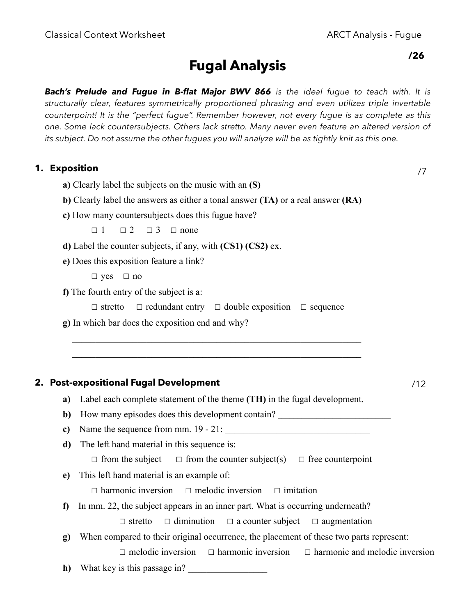## **Fugal Analysis**

*Bach's Prelude and Fugue in B-flat Major BWV 866 is the ideal fugue to teach with. It is structurally clear, features symmetrically proportioned phrasing and even utilizes triple invertable counterpoint! It is the "perfect fugue". Remember however, not every fugue is as complete as this one. Some lack countersubjects. Others lack stretto. Many never even feature an altered version of*  its subject. Do not assume the other fugues you will analyze will be as tightly knit as this one.

## **1. Exposition**

- **a)** Clearly label the subjects on the music with an **(S)**
- **b)** Clearly label the answers as either a tonal answer **(TA)** or a real answer **(RA)**
- **c)** How many countersubjects does this fugue have?

 $\Box$  1  $\Box$  2  $\Box$  3  $\Box$  none

**d)** Label the counter subjects, if any, with **(CS1) (CS2)** ex.

**e)** Does this exposition feature a link?

☐ yes ☐ no

**f)** The fourth entry of the subject is a:

☐ stretto ☐ redundant entry ☐ double exposition ☐ sequence

 $\mathcal{L}_\text{max}$  , and the contribution of the contribution of the contribution of the contribution of the contribution of the contribution of the contribution of the contribution of the contribution of the contribution of t

 $\mathcal{L}_\text{max} = \frac{1}{2} \sum_{i=1}^n \mathcal{L}_\text{max}(\mathbf{z}_i - \mathbf{z}_i)$ 

**g)** In which bar does the exposition end and why?

## **2. Post-expositional Fugal Development**

- **a)** Label each complete statement of the theme **(TH)** in the fugal development.
- **b**) How many episodes does this development contain?
- **c)** Name the sequence from mm. 19 21: \_\_\_\_\_\_\_\_\_\_\_\_\_\_\_\_\_\_\_\_\_\_\_\_\_\_\_\_\_\_\_
- **d)** The left hand material in this sequence is:

 $\Box$  from the subject  $\Box$  from the counter subject(s)  $\Box$  free counterpoint

**e)** This left hand material is an example of:

☐ harmonic inversion ☐ melodic inversion ☐ imitation

**f)** In mm. 22, the subject appears in an inner part. What is occurring underneath?

☐ stretto ☐ diminution ☐ a counter subject ☐ augmentation

- **g)** When compared to their original occurrence, the placement of these two parts represent:
	- ☐ melodic inversion ☐ harmonic inversion ☐ harmonic and melodic inversion
- **h**) What key is this passage in?

/7

/12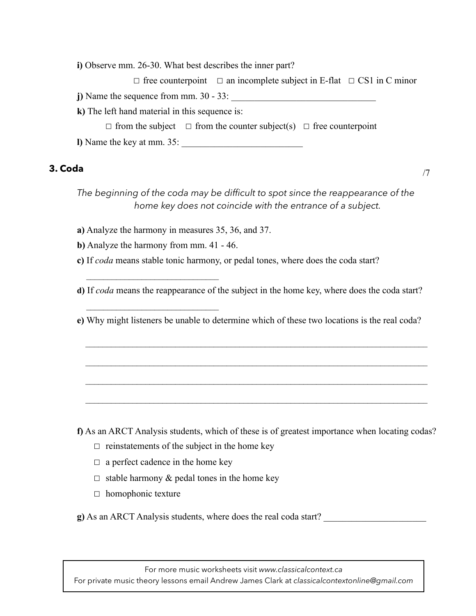**i)** Observe mm. 26-30. What best describes the inner part?

☐ free counterpoint ☐ an incomplete subject in E-flat ☐ CS1 in C minor **j)** Name the sequence from mm.  $30 - 33$ : **k)** The left hand material in this sequence is:

 $\Box$  from the subject  $\Box$  from the counter subject(s)  $\Box$  free counterpoint

**l**) Name the key at mm. 35:

## **3. Coda**

/7

*The beginning of the coda may be difficult to spot since the reappearance of the home key does not coincide with the entrance of a subject.*

**a)** Analyze the harmony in measures 35, 36, and 37.

**b)** Analyze the harmony from mm. 41 - 46.

 $\mathcal{L}=\frac{1}{2}$  , where  $\mathcal{L}=\frac{1}{2}$  , where  $\mathcal{L}=\frac{1}{2}$ 

 $\mathcal{L}=\frac{1}{2}$  , where  $\mathcal{L}=\frac{1}{2}$  , where  $\mathcal{L}=\frac{1}{2}$ 

**c)** If *coda* means stable tonic harmony, or pedal tones, where does the coda start?

**d)** If *coda* means the reappearance of the subject in the home key, where does the coda start?

**e)** Why might listeners be unable to determine which of these two locations is the real coda?

 $\mathcal{L}_\text{max}$  and  $\mathcal{L}_\text{max}$  and  $\mathcal{L}_\text{max}$  and  $\mathcal{L}_\text{max}$  and  $\mathcal{L}_\text{max}$  and  $\mathcal{L}_\text{max}$ 

 $\mathcal{L}_\text{max}$  and  $\mathcal{L}_\text{max}$  and  $\mathcal{L}_\text{max}$  and  $\mathcal{L}_\text{max}$  and  $\mathcal{L}_\text{max}$  and  $\mathcal{L}_\text{max}$ 

 $\mathcal{L}_\text{max}$  and  $\mathcal{L}_\text{max}$  and  $\mathcal{L}_\text{max}$  and  $\mathcal{L}_\text{max}$  and  $\mathcal{L}_\text{max}$  and  $\mathcal{L}_\text{max}$ 

 $\mathcal{L}_\text{max}$  and  $\mathcal{L}_\text{max}$  and  $\mathcal{L}_\text{max}$  and  $\mathcal{L}_\text{max}$  and  $\mathcal{L}_\text{max}$  and  $\mathcal{L}_\text{max}$ 

**f)** As an ARCT Analysis students, which of these is of greatest importance when locating codas?

- $\Box$  reinstatements of the subject in the home key
- $\Box$  a perfect cadence in the home key
- $\Box$  stable harmony & pedal tones in the home key
- $\Box$  homophonic texture

For more music worksheets visit *www.classicalcontext.ca* For private music theory lessons email Andrew James Clark at *classicalcontextonline@gmail.com*

**g**) As an ARCT Analysis students, where does the real coda start?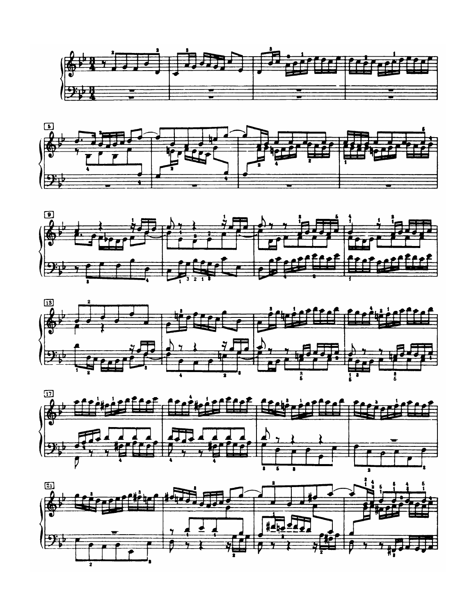